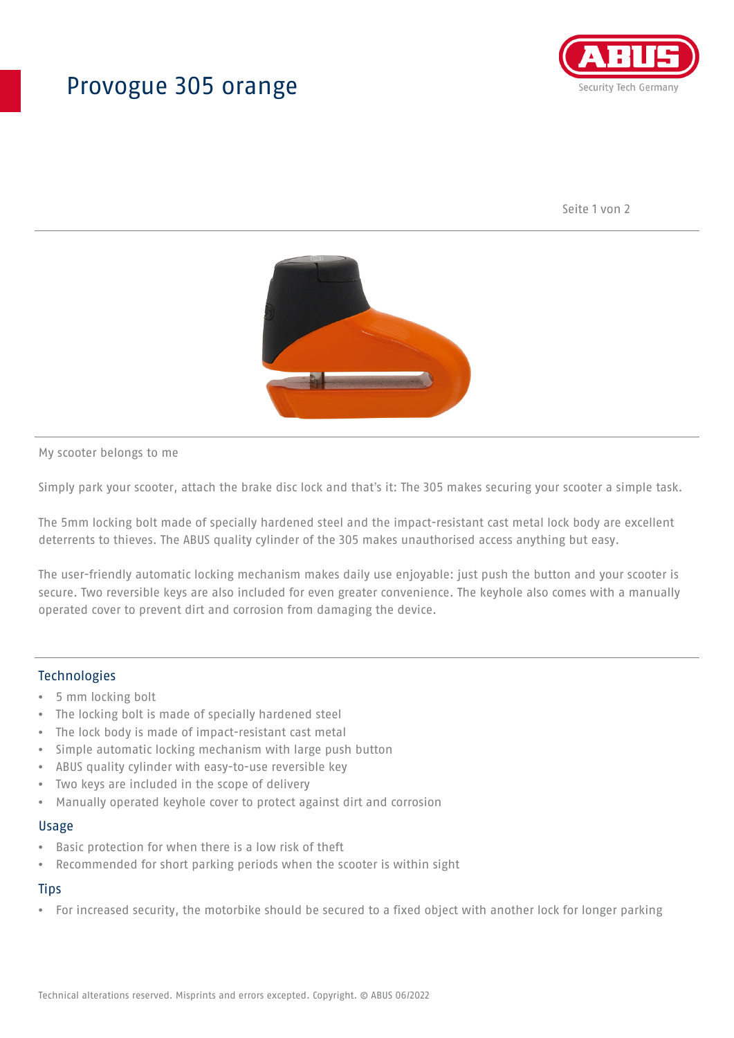## Provogue 305 orange



Seite 1 von 2



My scooter belongs to me

Simply park your scooter, attach the brake disc lock and that's it: The 305 makes securing your scooter a simple task.

The 5mm locking bolt made of specially hardened steel and the impact-resistant cast metal lock body are excellent deterrents to thieves. The ABUS quality cylinder of the 305 makes unauthorised access anything but easy.

The user-friendly automatic locking mechanism makes daily use enjoyable: just push the button and your scooter is secure. Two reversible keys are also included for even greater convenience. The keyhole also comes with a manually operated cover to prevent dirt and corrosion from damaging the device.

### Technologies

- 5 mm locking bolt
- The locking bolt is made of specially hardened steel
- The lock body is made of impact-resistant cast metal
- Simple automatic locking mechanism with large push button
- ABUS quality cylinder with easy-to-use reversible key
- Two keys are included in the scope of delivery
- Manually operated keyhole cover to protect against dirt and corrosion

#### Usage

- Basic protection for when there is a low risk of theft
- Recommended for short parking periods when the scooter is within sight

## **Tips**

• For increased security, the motorbike should be secured to a fixed object with another lock for longer parking